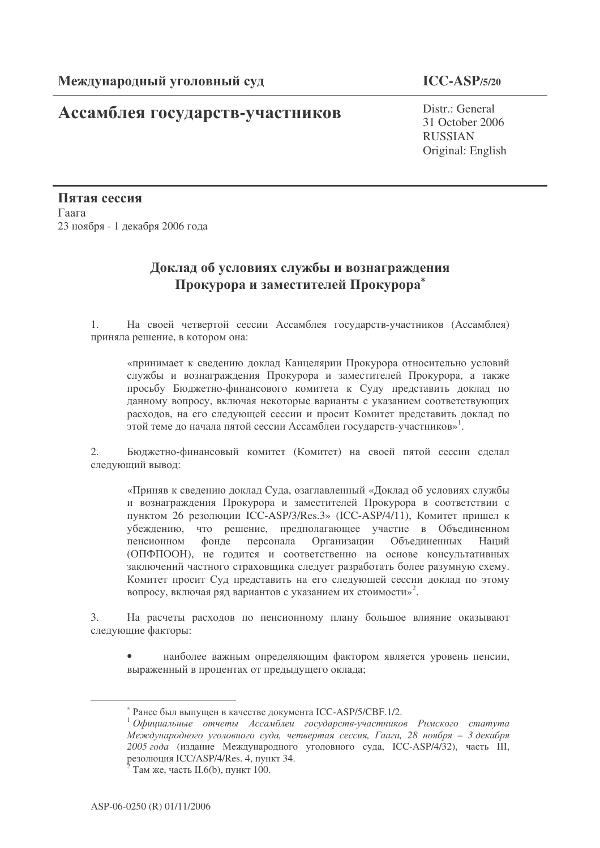## **Ассамблея государств-участников** Distr.: General

## **ICC-ASP/5/20**

31 October 2006 RUSSIAN Original: English

Пятая сессия  $\Gamma$ аага 23 ноября - 1 декабря 2006 года

## Доклад об условиях службы и вознаграждения Прокурора и заместителей Прокурора<sup>\*</sup>

1. На своей четвертой сессии Ассамблея государств-участников (Ассамблея) приняла решение, в котором она:

«принимает к сведению доклад Канцелярии Прокурора относительно условий службы и вознаграждения Прокурора и заместителей Прокурора, а также просьбу Бюджетно-финансового комитета к Суду представить доклад по данному вопросу, включая некоторые варианты с указанием соответствующих расходов, на его следующей сессии и просит Комитет представить доклад по .<br>этой теме до начала пятой сессии Ассамблеи государств-участников»<sup>1</sup>.

2. Бюджетно-финансовый комитет (Комитет) на своей пятой сессии сделал следующий вывод:

«Приняв к сведению доклад Суда, озаглавленный «Доклад об условиях службы и вознаграждения Прокурора и заместителей Прокурора в соответствии с пунктом 26 резолюции ICC-ASP/3/Res.3» (ICC-ASP/4/11), Комитет пришел к убеждению, что решение, предполагающее участие в Объединенном пенсионном фонде персонала Организации Объединенных На Напий (ОПФПООН), не годится и соответственно на основе консультативных заключений частного страховщика следует разработать более разумную схему. Комитет просит Суд представить на его следующей сессии доклад по этому вопросу, включая ряд вариантов с указанием их стоимости»<sup>2</sup>.

3. На расчеты расходов по пенсионному плану большое влияние оказывают следующие факторы:

• наиболее важным определяющим фактором является уровень пенсии, выраженный в процентах от предыдущего оклада;

<sup>\*</sup> Ранее был выпущен в качестве документа ICC-ASP/5/CBF.1/2.

 $^1$ Официальные отчеты Ассамблеи государств-участников Римского статута Международного уголовного суда, четвертая сессия, Гаага, 28 ноября — 3 декабря 2005 года (издание Международного уголовного суда, ICC-ASP/4/32), часть III, резолюция ICC/ASP/4/Res. 4, пункт 34.

 $2^2$  Там же, часть II.6(b), пункт 100.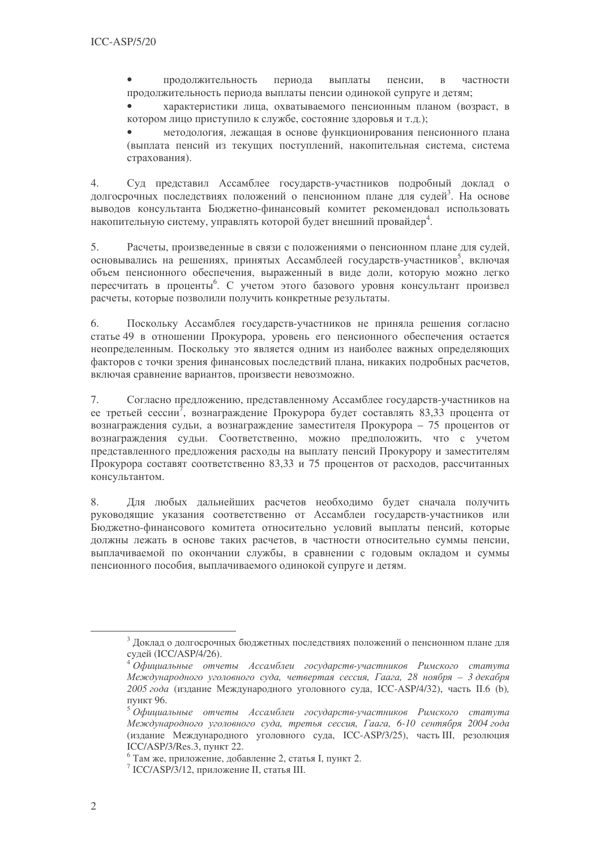периода выплаты  $\bullet$ продолжительность пенсии, частности  $\mathbf{B}$ продолжительность периода выплаты пенсии одинокой супруге и детям;

характеристики лица, охватываемого пенсионным планом (возраст, в котором лицо приступило к службе, состояние здоровья и т.д.);

методология, лежащая в основе функционирования пенсионного плана (выплата пенсий из текущих поступлений, накопительная система, система страхования).

Суд представил Ассамблее государств-участников подробный доклад о  $\overline{4}$ . долгосрочных последствиях положений о пенсионном плане для судей<sup>3</sup>. На основе выводов консультанта Бюлжетно-финансовый комитет рекомендовал использовать накопительную систему, управлять которой будет внешний провайдер<sup>4</sup>.

Расчеты, произведенные в связи с положениями о пенсионном плане для судей, 5. основывались на решениях, принятых Ассамблеей государств-участников<sup>5</sup>, включая объем пенсионного обеспечения, выраженный в виде доли, которую можно легко пересчитать в проценты<sup>6</sup>. С учетом этого базового уровня консультант произвел расчеты, которые позволили получить конкретные результаты.

6. Поскольку Ассамблея государств-участников не приняла решения согласно статье 49 в отношении Прокурора, уровень его пенсионного обеспечения остается неопределенным. Поскольку это является одним из наиболее важных определяющих факторов с точки зрения финансовых последствий плана, никаких подробных расчетов, включая сравнение вариантов, произвести невозможно.

 $7.$ Согласно предложению, представленному Ассамблее государств-участников на ее третьей сессии<sup>7</sup>, вознаграждение Прокурора будет составлять 83,33 процента от вознаграждения судьи, а вознаграждение заместителя Прокурора - 75 процентов от вознаграждения судьи. Соответственно, можно предположить, что с учетом представленного предложения расходы на выплату пенсий Прокурору и заместителям Прокурора составят соответственно 83,33 и 75 процентов от расходов, рассчитанных консультантом.

Для любых дальнейших расчетов необходимо будет сначала получить 8. руководящие указания соответственно от Ассамблеи государств-участников или Бюджетно-финансового комитета относительно условий выплаты пенсий, которые должны лежать в основе таких расчетов, в частности относительно суммы пенсии, выплачиваемой по окончании службы, в сравнении с годовым окладом и суммы пенсионного пособия, выплачиваемого одинокой супруге и детям.

<sup>&</sup>lt;sup>3</sup> Доклад о долгосрочных бюджетных последствиях положений о пенсионном плане для судей (ICC/ASP/4/26).

<sup>&</sup>lt;sup>4</sup> Официальные отчеты Ассамблеи государств-участников Римского статута Международного уголовного суда, четвертая сессия, Гаага, 28 ноября - 3 декабря 2005 года (издание Международного уголовного суда, ICC-ASP/4/32), часть II.6 (b), пункт 96.

<sup>&</sup>lt;sup>5</sup>Официальные отчеты Ассамблеи государств-участников Римского статута Международного уголовного суда, третья сессия, Гаага, 6-10 сентября 2004 года (издание Международного уголовного суда, ICC-ASP/3/25), часть III, резолюция ICC/ASP/3/Res.3, пункт 22.

 $6$  Там же, приложение, добавление 2, статья I, пункт 2.

 $\frac{7}{1}$  ICC/ASP/3/12, приложение II, статья III.